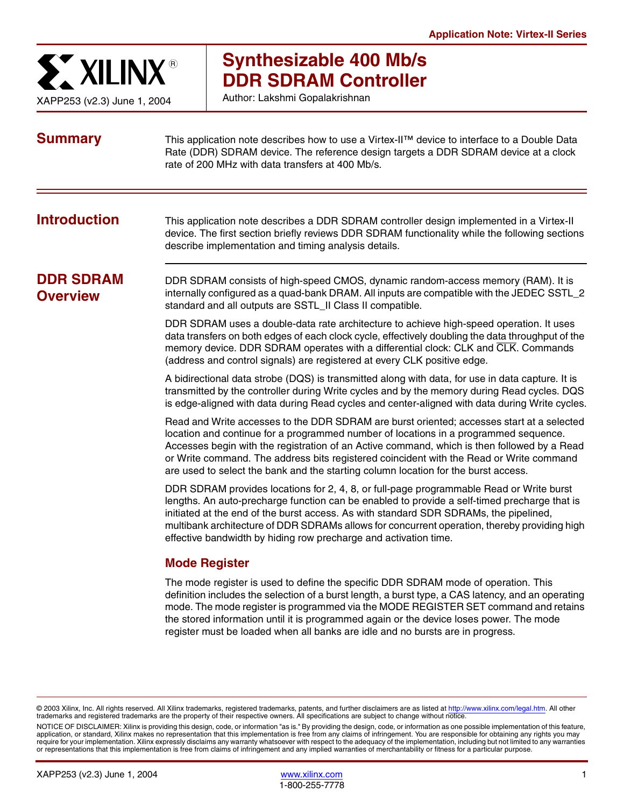

# **Synthesizable 400 Mb/s DDR SDRAM Controller**

Author: Lakshmi Gopalakrishnan

| <b>Summary</b>                      | This application note describes how to use a Virtex-II™ device to interface to a Double Data<br>Rate (DDR) SDRAM device. The reference design targets a DDR SDRAM device at a clock<br>rate of 200 MHz with data transfers at 400 Mb/s.                                                                                                                                                                                                                           |
|-------------------------------------|-------------------------------------------------------------------------------------------------------------------------------------------------------------------------------------------------------------------------------------------------------------------------------------------------------------------------------------------------------------------------------------------------------------------------------------------------------------------|
| <b>Introduction</b>                 | This application note describes a DDR SDRAM controller design implemented in a Virtex-II<br>device. The first section briefly reviews DDR SDRAM functionality while the following sections<br>describe implementation and timing analysis details.                                                                                                                                                                                                                |
| <b>DDR SDRAM</b><br><b>Overview</b> | DDR SDRAM consists of high-speed CMOS, dynamic random-access memory (RAM). It is<br>internally configured as a quad-bank DRAM. All inputs are compatible with the JEDEC SSTL_2<br>standard and all outputs are SSTL_II Class II compatible.                                                                                                                                                                                                                       |
|                                     | DDR SDRAM uses a double-data rate architecture to achieve high-speed operation. It uses<br>data transfers on both edges of each clock cycle, effectively doubling the data throughput of the<br>memory device. DDR SDRAM operates with a differential clock: CLK and CLK. Commands<br>(address and control signals) are registered at every CLK positive edge.                                                                                                    |
|                                     | A bidirectional data strobe (DQS) is transmitted along with data, for use in data capture. It is<br>transmitted by the controller during Write cycles and by the memory during Read cycles. DQS<br>is edge-aligned with data during Read cycles and center-aligned with data during Write cycles.                                                                                                                                                                 |
|                                     | Read and Write accesses to the DDR SDRAM are burst oriented; accesses start at a selected<br>location and continue for a programmed number of locations in a programmed sequence.<br>Accesses begin with the registration of an Active command, which is then followed by a Read<br>or Write command. The address bits registered coincident with the Read or Write command<br>are used to select the bank and the starting column location for the burst access. |
|                                     | DDR SDRAM provides locations for 2, 4, 8, or full-page programmable Read or Write burst<br>lengths. An auto-precharge function can be enabled to provide a self-timed precharge that is<br>initiated at the end of the burst access. As with standard SDR SDRAMs, the pipelined,<br>multibank architecture of DDR SDRAMs allows for concurrent operation, thereby providing high<br>effective bandwidth by hiding row precharge and activation time.              |
|                                     | <b>Mode Register</b>                                                                                                                                                                                                                                                                                                                                                                                                                                              |
|                                     | The mode register is used to define the specific DDR SDRAM mode of operation. This<br>definition includes the selection of a burst length, a burst type, a CAS latency, and an operating<br>mode. The mode register is programmed via the MODE REGISTER SET command and retains<br>the stored information until it is programmed again or the device loses power. The mode                                                                                        |

© 2003 Xilinx, Inc. All rights reserved. All Xilinx trademarks, registered trademarks, patents, and further disclaimers are as listed at<http://www.xilinx.com/legal.htm>. All other trademarks and registered trademarks are the property of their respective owners. All specifications are subject to change without notice.

NOTICE OF DISCLAIMER: Xilinx is providing this design, code, or information "as is." By providing the design, code, or information as one possible implementation of this feature, application, or standard, Xilinx makes no representation that this implementation is free from any claims of infringement. You are responsible for obtaining any rights you may require for your implementation. Xilinx expressly disclaims any warranty whatsoever with respect to the adequacy of the implementation, including but not limited to any warranties or representations that this implementation is free from claims of infringement and any implied warranties of merchantability or fitness for a particular purpose.

register must be loaded when all banks are idle and no bursts are in progress.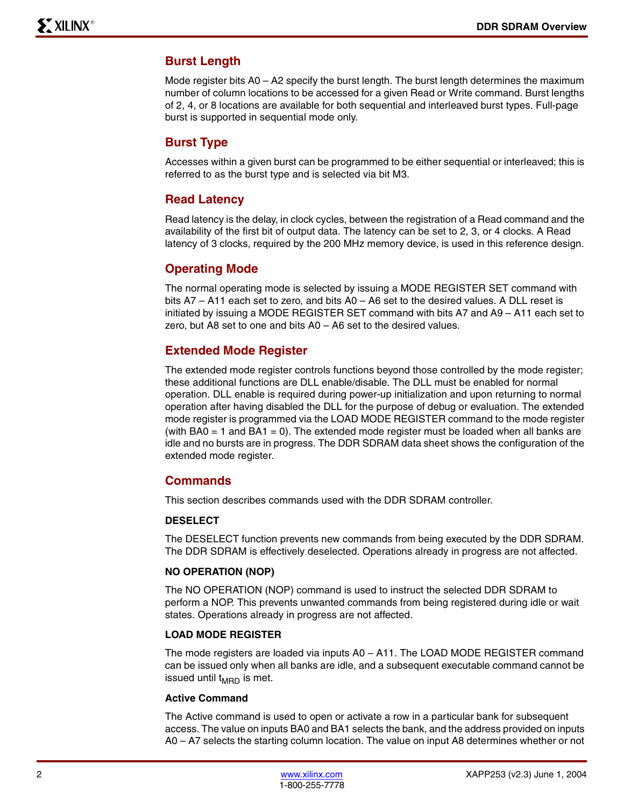#### **Burst Length**

Mode register bits A0 – A2 specify the burst length. The burst length determines the maximum number of column locations to be accessed for a given Read or Write command. Burst lengths of 2, 4, or 8 locations are available for both sequential and interleaved burst types. Full-page burst is supported in sequential mode only.

#### **Burst Type**

Accesses within a given burst can be programmed to be either sequential or interleaved; this is referred to as the burst type and is selected via bit M3.

#### **Read Latency**

Read latency is the delay, in clock cycles, between the registration of a Read command and the availability of the first bit of output data. The latency can be set to 2, 3, or 4 clocks. A Read latency of 3 clocks, required by the 200 MHz memory device, is used in this reference design.

#### **Operating Mode**

The normal operating mode is selected by issuing a MODE REGISTER SET command with bits A7 – A11 each set to zero, and bits A0 – A6 set to the desired values. A DLL reset is initiated by issuing a MODE REGISTER SET command with bits A7 and A9 – A11 each set to zero, but A8 set to one and bits A0 – A6 set to the desired values.

#### **Extended Mode Register**

The extended mode register controls functions beyond those controlled by the mode register; these additional functions are DLL enable/disable. The DLL must be enabled for normal operation. DLL enable is required during power-up initialization and upon returning to normal operation after having disabled the DLL for the purpose of debug or evaluation. The extended mode register is programmed via the LOAD MODE REGISTER command to the mode register (with BA0  $=$  1 and BA1  $=$  0). The extended mode register must be loaded when all banks are idle and no bursts are in progress. The DDR SDRAM data sheet shows the configuration of the extended mode register.

#### **Commands**

This section describes commands used with the DDR SDRAM controller.

#### **DESELECT**

The DESELECT function prevents new commands from being executed by the DDR SDRAM. The DDR SDRAM is effectively deselected. Operations already in progress are not affected.

#### **NO OPERATION (NOP)**

The NO OPERATION (NOP) command is used to instruct the selected DDR SDRAM to perform a NOP. This prevents unwanted commands from being registered during idle or wait states. Operations already in progress are not affected.

#### **LOAD MODE REGISTER**

The mode registers are loaded via inputs A0 – A11. The LOAD MODE REGISTER command can be issued only when all banks are idle, and a subsequent executable command cannot be issued until  $t_{\text{MBD}}$  is met.

#### **Active Command**

The Active command is used to open or activate a row in a particular bank for subsequent access. The value on inputs BA0 and BA1 selects the bank, and the address provided on inputs A0 – A7 selects the starting column location. The value on input A8 determines whether or not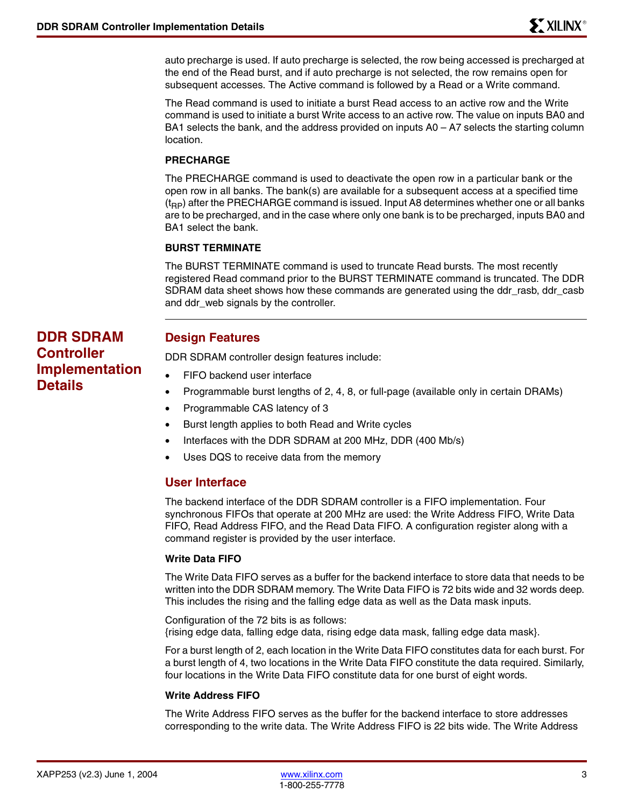auto precharge is used. If auto precharge is selected, the row being accessed is precharged at the end of the Read burst, and if auto precharge is not selected, the row remains open for subsequent accesses. The Active command is followed by a Read or a Write command.

The Read command is used to initiate a burst Read access to an active row and the Write command is used to initiate a burst Write access to an active row. The value on inputs BA0 and BA1 selects the bank, and the address provided on inputs  $A0 - A7$  selects the starting column location.

#### **PRECHARGE**

The PRECHARGE command is used to deactivate the open row in a particular bank or the open row in all banks. The bank(s) are available for a subsequent access at a specified time  $(t_{\text{BP}})$  after the PRECHARGE command is issued. Input A8 determines whether one or all banks are to be precharged, and in the case where only one bank is to be precharged, inputs BA0 and BA1 select the bank.

#### **BURST TERMINATE**

The BURST TERMINATE command is used to truncate Read bursts. The most recently registered Read command prior to the BURST TERMINATE command is truncated. The DDR SDRAM data sheet shows how these commands are generated using the ddr\_rasb, ddr\_casb and ddr\_web signals by the controller.

#### **Design Features**

DDR SDRAM controller design features include:

- FIFO backend user interface
- Programmable burst lengths of 2, 4, 8, or full-page (available only in certain DRAMs)
- Programmable CAS latency of 3
- Burst length applies to both Read and Write cycles
- Interfaces with the DDR SDRAM at 200 MHz, DDR (400 Mb/s)
- Uses DQS to receive data from the memory

#### **User Interface**

The backend interface of the DDR SDRAM controller is a FIFO implementation. Four synchronous FIFOs that operate at 200 MHz are used: the Write Address FIFO, Write Data FIFO, Read Address FIFO, and the Read Data FIFO. A configuration register along with a command register is provided by the user interface.

#### **Write Data FIFO**

The Write Data FIFO serves as a buffer for the backend interface to store data that needs to be written into the DDR SDRAM memory. The Write Data FIFO is 72 bits wide and 32 words deep. This includes the rising and the falling edge data as well as the Data mask inputs.

Configuration of the 72 bits is as follows: {rising edge data, falling edge data, rising edge data mask, falling edge data mask}.

For a burst length of 2, each location in the Write Data FIFO constitutes data for each burst. For a burst length of 4, two locations in the Write Data FIFO constitute the data required. Similarly, four locations in the Write Data FIFO constitute data for one burst of eight words.

#### **Write Address FIFO**

The Write Address FIFO serves as the buffer for the backend interface to store addresses corresponding to the write data. The Write Address FIFO is 22 bits wide. The Write Address

# **DDR SDRAM Controller Implementation Details**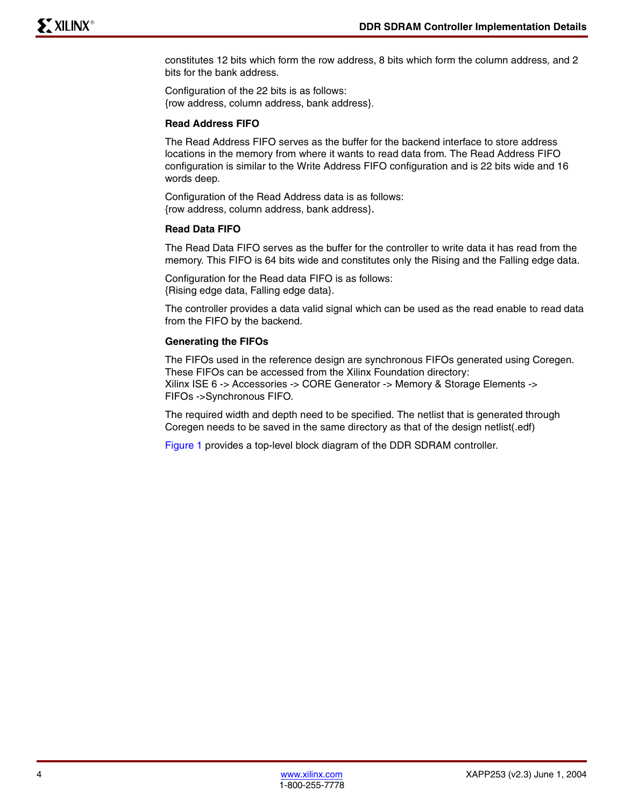constitutes 12 bits which form the row address, 8 bits which form the column address, and 2 bits for the bank address.

Configuration of the 22 bits is as follows: {row address, column address, bank address}.

#### **Read Address FIFO**

The Read Address FIFO serves as the buffer for the backend interface to store address locations in the memory from where it wants to read data from. The Read Address FIFO configuration is similar to the Write Address FIFO configuration and is 22 bits wide and 16 words deep.

Configuration of the Read Address data is as follows: {row address, column address, bank address}.

#### **Read Data FIFO**

The Read Data FIFO serves as the buffer for the controller to write data it has read from the memory. This FIFO is 64 bits wide and constitutes only the Rising and the Falling edge data.

Configuration for the Read data FIFO is as follows: {Rising edge data, Falling edge data}.

The controller provides a data valid signal which can be used as the read enable to read data from the FIFO by the backend.

#### **Generating the FIFOs**

The FIFOs used in the reference design are synchronous FIFOs generated using Coregen. These FIFOs can be accessed from the Xilinx Foundation directory: Xilinx ISE 6 -> Accessories -> CORE Generator -> Memory & Storage Elements -> FIFOs ->Synchronous FIFO.

The required width and depth need to be specified. The netlist that is generated through Coregen needs to be saved in the same directory as that of the design netlist(.edf)

[Figure 1](#page-4-0) provides a top-level block diagram of the DDR SDRAM controller.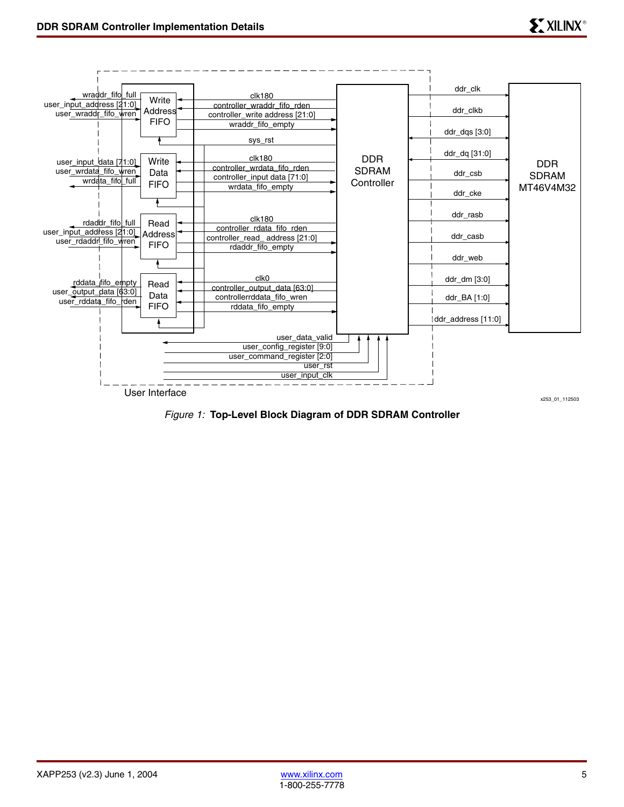

<span id="page-4-0"></span>*Figure 1:* **Top-Level Block Diagram of DDR SDRAM Controller**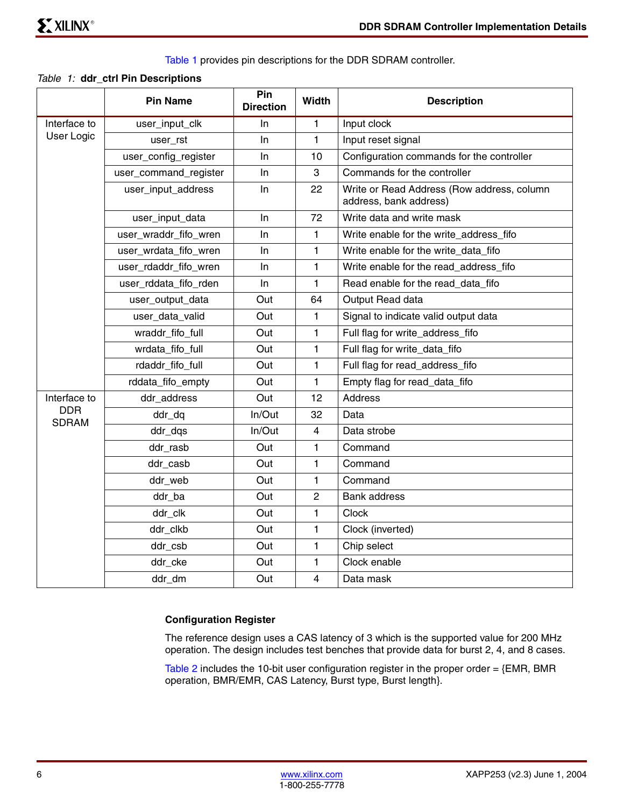Table 1 provides pin descriptions for the DDR SDRAM controller.

#### *Table 1:* **ddr\_ctrl Pin Descriptions**

|                            | <b>Pin Name</b>       | Pin<br><b>Direction</b> | Width          | <b>Description</b>                                                   |
|----------------------------|-----------------------|-------------------------|----------------|----------------------------------------------------------------------|
| Interface to               | user_input_clk        | ln.                     | 1              | Input clock                                                          |
| User Logic                 | user_rst              | ln.                     | $\mathbf{1}$   | Input reset signal                                                   |
|                            | user_config_register  | In                      | 10             | Configuration commands for the controller                            |
|                            | user_command_register | In                      | 3              | Commands for the controller                                          |
|                            | user_input_address    | In.                     | 22             | Write or Read Address (Row address, column<br>address, bank address) |
|                            | user_input_data       | ln                      | 72             | Write data and write mask                                            |
|                            | user_wraddr_fifo_wren | In                      | 1              | Write enable for the write_address_fifo                              |
|                            | user_wrdata_fifo_wren | In.                     | 1              | Write enable for the write_data_fifo                                 |
|                            | user_rdaddr_fifo_wren | In                      | 1              | Write enable for the read_address_fifo                               |
|                            | user_rddata_fifo_rden | In.                     | 1              | Read enable for the read_data_fifo                                   |
|                            | user_output_data      | Out                     | 64             | Output Read data                                                     |
|                            | user_data_valid       | Out                     | 1.             | Signal to indicate valid output data                                 |
|                            | wraddr fifo full      | Out                     | 1              | Full flag for write address fifo                                     |
|                            | wrdata fifo full      | Out                     | 1              | Full flag for write data fifo                                        |
|                            | rdaddr fifo full      | Out                     | 1              | Full flag for read address fifo                                      |
|                            | rddata_fifo_empty     | Out                     | 1              | Empty flag for read_data_fifo                                        |
| Interface to               | ddr_address           | Out                     | 12             | <b>Address</b>                                                       |
| <b>DDR</b><br><b>SDRAM</b> | ddr_dq                | In/Out                  | 32             | Data                                                                 |
|                            | ddr_dqs               | In/Out                  | 4              | Data strobe                                                          |
|                            | ddr rasb              | Out                     | 1              | Command                                                              |
|                            | ddr_casb              | Out                     | 1              | Command                                                              |
|                            | ddr_web               | Out                     | 1              | Command                                                              |
|                            | ddr_ba                | Out                     | $\overline{2}$ | <b>Bank address</b>                                                  |
|                            | ddr_clk               | Out                     | 1              | Clock                                                                |
|                            | ddr_clkb              | Out                     | 1              | Clock (inverted)                                                     |
|                            | ddr_csb               | Out                     | 1              | Chip select                                                          |
|                            | ddr_cke               | Out                     | 1              | Clock enable                                                         |
|                            | ddr_dm                | Out                     | 4              | Data mask                                                            |

#### **Configuration Register**

The reference design uses a CAS latency of 3 which is the supported value for 200 MHz operation. The design includes test benches that provide data for burst 2, 4, and 8 cases.

Table 2 includes the 10-bit user configuration register in the proper order = {EMR, BMR operation, BMR/EMR, CAS Latency, Burst type, Burst length}.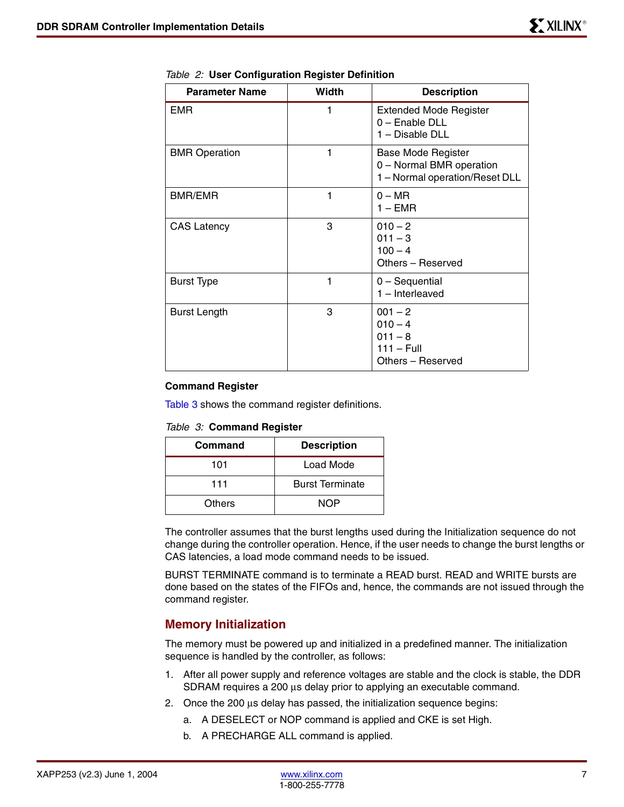| <b>Parameter Name</b> | Width | <b>Description</b>                                                                      |
|-----------------------|-------|-----------------------------------------------------------------------------------------|
| <b>EMR</b>            |       | <b>Extended Mode Register</b><br>0 - Enable DLL<br>1 - Disable DLL                      |
| <b>BMR</b> Operation  |       | <b>Base Mode Register</b><br>0 - Normal BMR operation<br>1 - Normal operation/Reset DLL |
| <b>BMR/EMR</b>        | 1     | $0 - MR$<br>$1 - EMR$                                                                   |
| <b>CAS Latency</b>    | 3     | $010 - 2$<br>$011 - 3$<br>$100 - 4$<br>Others - Reserved                                |
| <b>Burst Type</b>     | 1     | $0 -$ Sequential<br>$1$ – Interleaved                                                   |
| <b>Burst Length</b>   | 3     | $001 - 2$<br>$010 - 4$<br>$011 - 8$<br>$111 - Full$<br>Others - Reserved                |

*Table 2:* **User Configuration Register Definition**

#### **Command Register**

[Table 3](#page-6-0) shows the command register definitions.

<span id="page-6-0"></span>

| Command       | <b>Description</b>     |
|---------------|------------------------|
| 101           | Load Mode              |
| 111           | <b>Burst Terminate</b> |
| <b>Others</b> | NOP                    |

The controller assumes that the burst lengths used during the Initialization sequence do not change during the controller operation. Hence, if the user needs to change the burst lengths or CAS latencies, a load mode command needs to be issued.

BURST TERMINATE command is to terminate a READ burst. READ and WRITE bursts are done based on the states of the FIFOs and, hence, the commands are not issued through the command register.

#### **Memory Initialization**

The memory must be powered up and initialized in a predefined manner. The initialization sequence is handled by the controller, as follows:

- 1. After all power supply and reference voltages are stable and the clock is stable, the DDR SDRAM requires a 200 µs delay prior to applying an executable command.
- 2. Once the 200  $\mu$ s delay has passed, the initialization sequence begins:
	- a. A DESELECT or NOP command is applied and CKE is set High.
	- b. A PRECHARGE ALL command is applied.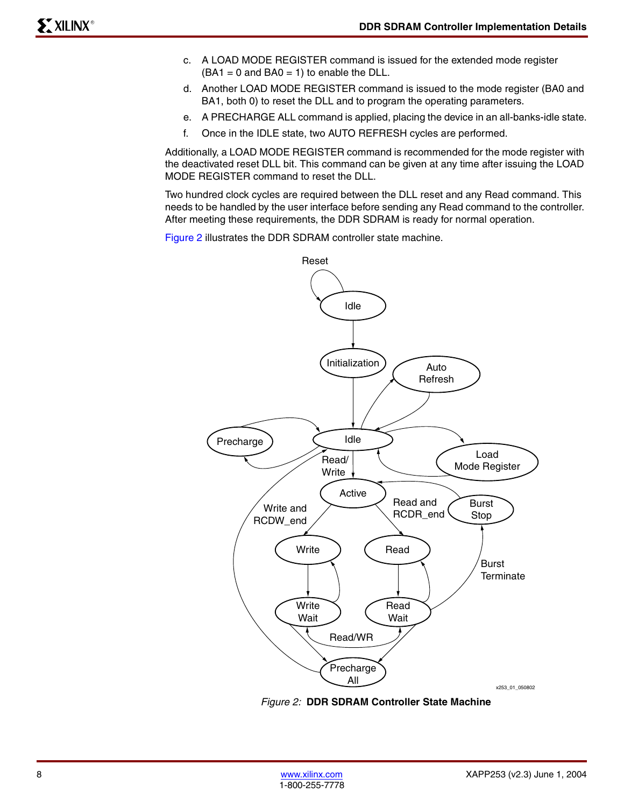- c. A LOAD MODE REGISTER command is issued for the extended mode register  $(BA1 = 0$  and  $BA0 = 1)$  to enable the DLL.
- d. Another LOAD MODE REGISTER command is issued to the mode register (BA0 and BA1, both 0) to reset the DLL and to program the operating parameters.
- e. A PRECHARGE ALL command is applied, placing the device in an all-banks-idle state.
- f. Once in the IDLE state, two AUTO REFRESH cycles are performed.

Additionally, a LOAD MODE REGISTER command is recommended for the mode register with the deactivated reset DLL bit. This command can be given at any time after issuing the LOAD MODE REGISTER command to reset the DLL.

Two hundred clock cycles are required between the DLL reset and any Read command. This needs to be handled by the user interface before sending any Read command to the controller. After meeting these requirements, the DDR SDRAM is ready for normal operation.

[Figure 2](#page-7-0) illustrates the DDR SDRAM controller state machine.



<span id="page-7-0"></span>*Figure 2:* **DDR SDRAM Controller State Machine**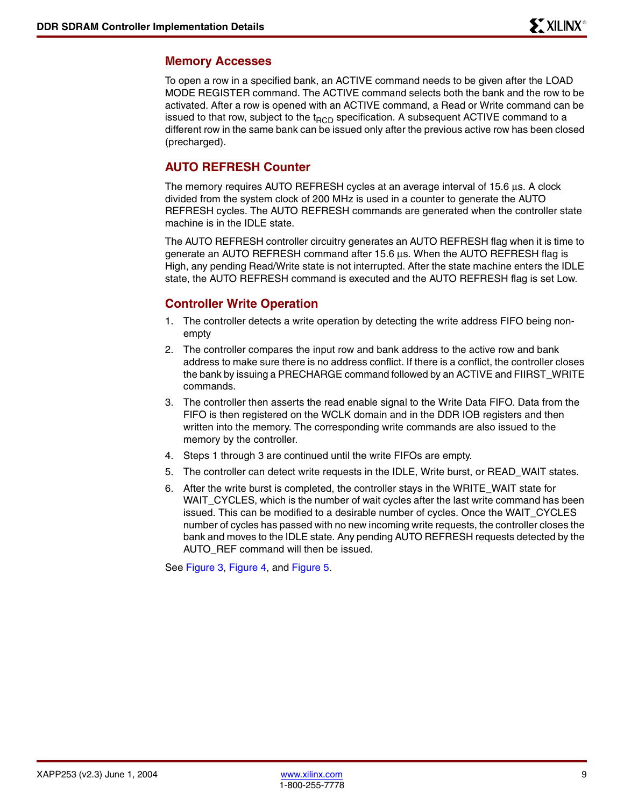#### **Memory Accesses**

To open a row in a specified bank, an ACTIVE command needs to be given after the LOAD MODE REGISTER command. The ACTIVE command selects both the bank and the row to be activated. After a row is opened with an ACTIVE command, a Read or Write command can be issued to that row, subject to the  $t_{RCD}$  specification. A subsequent ACTIVE command to a different row in the same bank can be issued only after the previous active row has been closed (precharged).

#### **AUTO REFRESH Counter**

The memory requires AUTO REFRESH cycles at an average interval of 15.6 µs. A clock divided from the system clock of 200 MHz is used in a counter to generate the AUTO REFRESH cycles. The AUTO REFRESH commands are generated when the controller state machine is in the IDLE state.

The AUTO REFRESH controller circuitry generates an AUTO REFRESH flag when it is time to generate an AUTO REFRESH command after 15.6 µs. When the AUTO REFRESH flag is High, any pending Read/Write state is not interrupted. After the state machine enters the IDLE state, the AUTO REFRESH command is executed and the AUTO REFRESH flag is set Low.

#### **Controller Write Operation**

- 1. The controller detects a write operation by detecting the write address FIFO being nonempty
- 2. The controller compares the input row and bank address to the active row and bank address to make sure there is no address conflict. If there is a conflict, the controller closes the bank by issuing a PRECHARGE command followed by an ACTIVE and FIIRST\_WRITE commands.
- 3. The controller then asserts the read enable signal to the Write Data FIFO. Data from the FIFO is then registered on the WCLK domain and in the DDR IOB registers and then written into the memory. The corresponding write commands are also issued to the memory by the controller.
- 4. Steps 1 through 3 are continued until the write FIFOs are empty.
- 5. The controller can detect write requests in the IDLE, Write burst, or READ\_WAIT states.
- 6. After the write burst is completed, the controller stays in the WRITE\_WAIT state for WAIT\_CYCLES, which is the number of wait cycles after the last write command has been issued. This can be modified to a desirable number of cycles. Once the WAIT\_CYCLES number of cycles has passed with no new incoming write requests, the controller closes the bank and moves to the IDLE state. Any pending AUTO REFRESH requests detected by the AUTO\_REF command will then be issued.

See Figure 3, Figure 4, and [Figure 5](#page-9-0).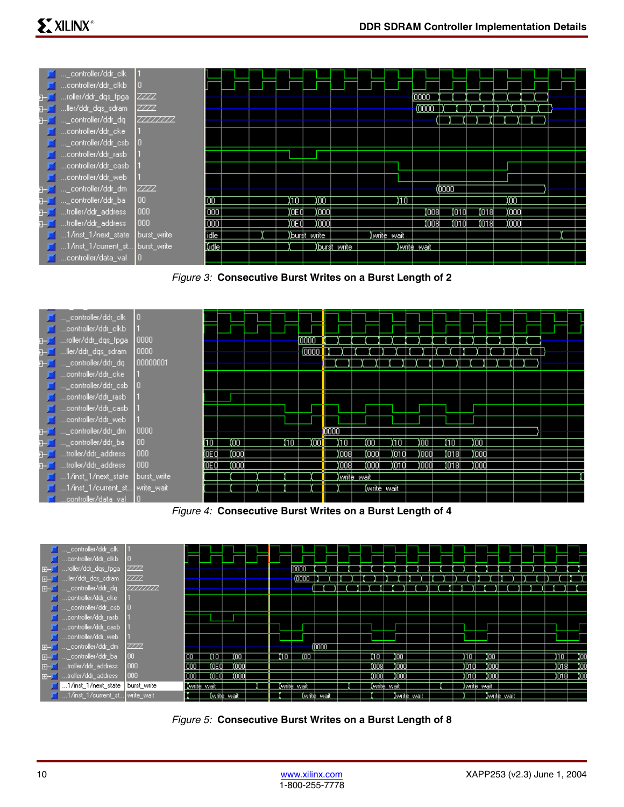| DE …_controller/ddr_clk             |             |                  |  |       |                |             |             |            |       |      |        |  |  |
|-------------------------------------|-------------|------------------|--|-------|----------------|-------------|-------------|------------|-------|------|--------|--|--|
| controller/ddr_clkb                 | 10          |                  |  |       |                |             |             |            |       |      |        |  |  |
| roller/ddr_dqs_fpga                 | ZZZZ        |                  |  |       |                |             |             | (0000      |       |      |        |  |  |
| ller/ddr_dqs_sdram_                 | ZZZZ        |                  |  |       |                |             |             | (0000      |       |      |        |  |  |
| _controller/ddr_dq                  | 77777777    |                  |  |       |                |             |             |            |       |      |        |  |  |
|                                     |             |                  |  |       |                |             |             |            |       |      |        |  |  |
| <b>F</b> _controller/ddr_csb        | 10          |                  |  |       |                |             |             |            |       |      |        |  |  |
| Controller/ddr_rasb                 |             |                  |  |       |                |             |             |            |       |      |        |  |  |
| controller/ddr_casb                 |             |                  |  |       |                |             |             |            |       |      |        |  |  |
| controller/ddr_web                  |             |                  |  |       |                |             |             |            |       |      |        |  |  |
| _controller/ddr_dm                  | <b>ZZZZ</b> |                  |  |       |                |             |             |            | ത്ത   |      |        |  |  |
| _controller/ddr_ba                  | <b>IOO</b>  | Гσο              |  | (10 T | ΪΟΟ            |             | 10          |            |       |      | ΪOΟ    |  |  |
| troller/ddr_address_                | 000         | $\overline{000}$ |  | ЮEО   | toool          |             |             | 1008       | iotol | 1018 | , ioon |  |  |
| troller/ddr_address                 | 1000        | $\sim$           |  | ŒŪ    | toool          |             |             | 1008       | iotol | 1018 | , ioon |  |  |
| $\Box$ 1/inst_1/next_state          | burst write | <b>idle</b>      |  |       | , Xburst write |             | (write wait |            |       |      |        |  |  |
| ■■ 1/inst_1/current_st burst_write  |             | <b>Motel</b>     |  |       |                | burst write |             | write wait |       |      |        |  |  |
| <mark>∎</mark> …controller/data_val |             |                  |  |       |                |             |             |            |       |      |        |  |  |

*Figure 3:* **Consecutive Burst Writes on a Burst Length of 2**



*Figure 4:* **Consecutive Burst Writes on a Burst Length of 4**



<span id="page-9-0"></span>*Figure 5:* **Consecutive Burst Writes on a Burst Length of 8**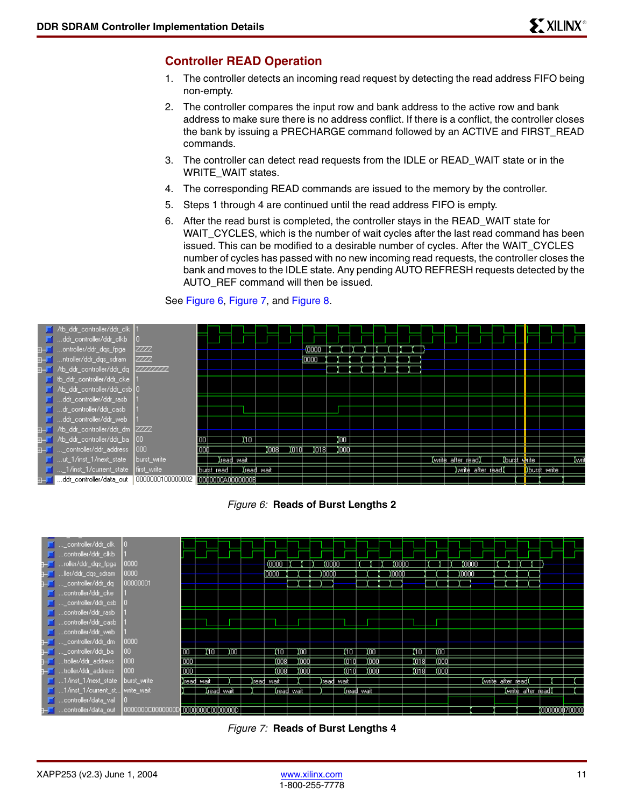# **Controller READ Operation**

- 1. The controller detects an incoming read request by detecting the read address FIFO being non-empty.
- 2. The controller compares the input row and bank address to the active row and bank address to make sure there is no address conflict. If there is a conflict, the controller closes the bank by issuing a PRECHARGE command followed by an ACTIVE and FIRST\_READ commands.
- 3. The controller can detect read requests from the IDLE or READ\_WAIT state or in the WRITE\_WAIT states.
- 4. The corresponding READ commands are issued to the memory by the controller.
- 5. Steps 1 through 4 are continued until the read address FIFO is empty.
- 6. After the read burst is completed, the controller stays in the READ\_WAIT state for WAIT CYCLES, which is the number of wait cycles after the last read command has been issued. This can be modified to a desirable number of cycles. After the WAIT\_CYCLES number of cycles has passed with no new incoming read requests, the controller closes the bank and moves to the IDLE state. Any pending AUTO REFRESH requests detected by the AUTO\_REF command will then be issued.

#### See Figure 6, Figure 7, and [Figure 8](#page-11-0).



*Figure 6:* **Reads of Burst Lengths 2**



*Figure 7:* **Reads of Burst Lengths 4**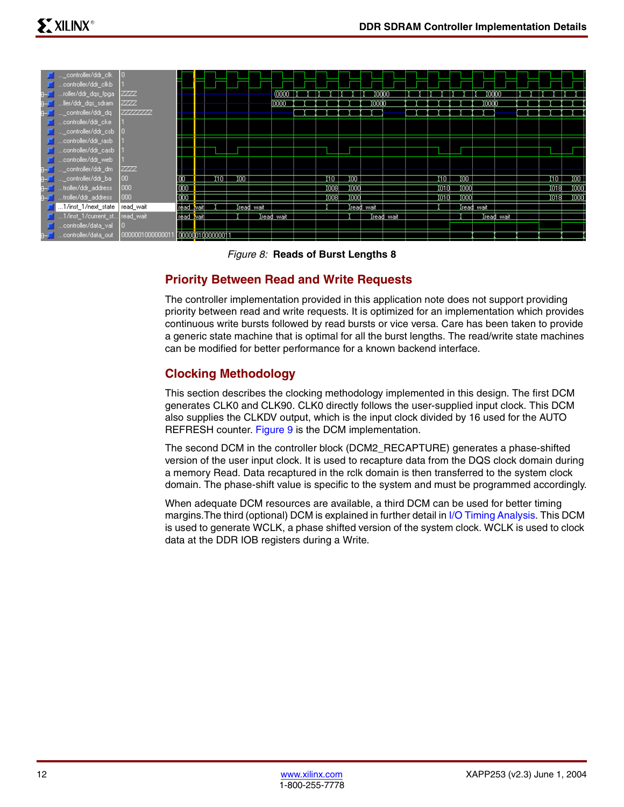| ■ <sub>…</sub> _controller/ddr_clk<br><b>F</b> controller/ddr_clkb<br>roller/ddr_dqs_fpga<br>ller/ddr_dqs_sdram_ | 10<br><b>ZZZZ</b><br><b>ZZZZ</b> |           |                  |     |            | (0000<br>(0000 |       |       | 10000<br>(000) |            |       |       | (0000<br>10000 |            |      |       |
|------------------------------------------------------------------------------------------------------------------|----------------------------------|-----------|------------------|-----|------------|----------------|-------|-------|----------------|------------|-------|-------|----------------|------------|------|-------|
| controller/ddr_dq                                                                                                | 77777777                         |           |                  |     |            |                |       |       |                |            |       |       |                |            |      |       |
| $\Box$ controller/ddr_cke                                                                                        |                                  |           |                  |     |            |                |       |       |                |            |       |       |                |            |      |       |
| $\Box$ _controller/ddr_csb $\Box$                                                                                |                                  |           |                  |     |            |                |       |       |                |            |       |       |                |            |      |       |
| $\Box$ controller/ddr_rasb                                                                                       |                                  |           |                  |     |            |                |       |       |                |            |       |       |                |            |      |       |
| $\Box$ controller/ddr_casb                                                                                       |                                  |           |                  |     |            |                |       |       |                |            |       |       |                |            |      |       |
| <b>T</b> controller/ddr_web                                                                                      |                                  |           |                  |     |            |                |       |       |                |            |       |       |                |            |      |       |
| state that is a controller/ddr_dm                                                                                | <b>ZZZZ</b>                      |           |                  |     |            |                |       |       |                |            |       |       |                |            |      |       |
| <mark>f</mark> …_controller/ddr_ba                                                                               | 100                              |           | 10.              | Yσσ |            |                | Ϊπ    | Yoo   |                |            | ित र  | ΪOΟ   |                |            | រាចា | χoο   |
| troller/ddr_address_                                                                                             | 1000                             |           |                  |     |            |                | 10081 | 1,000 |                |            | Χοτοί | 1,000 |                |            | 018) | 1,000 |
| a— <mark>m</mark> …troller/ddr_address                                                                           | 1000                             |           |                  |     |            |                | 10081 | 1000  |                |            | Yotal | 1000  |                |            | )ота | 1,000 |
| 1/inst_1/next_state   read_wait                                                                                  |                                  |           |                  |     | Iread wait |                |       |       | (read wait     |            |       |       | Iread wait     |            |      |       |
| 1/inst_1/current_st read_wait                                                                                    |                                  | read wait |                  |     |            | (read wait     |       |       |                | (read wait |       |       |                | Xread wait |      |       |
| controller/data_val                                                                                              | ١O                               |           |                  |     |            |                |       |       |                |            |       |       |                |            |      |       |
| controller/data_out                                                                                              | 000000100000001                  |           | 0000001000000011 |     |            |                |       |       |                |            |       |       |                |            |      |       |

#### *Figure 8:* **Reads of Burst Lengths 8**

### <span id="page-11-0"></span>**Priority Between Read and Write Requests**

The controller implementation provided in this application note does not support providing priority between read and write requests. It is optimized for an implementation which provides continuous write bursts followed by read bursts or vice versa. Care has been taken to provide a generic state machine that is optimal for all the burst lengths. The read/write state machines can be modified for better performance for a known backend interface.

# **Clocking Methodology**

This section describes the clocking methodology implemented in this design. The first DCM generates CLK0 and CLK90. CLK0 directly follows the user-supplied input clock. This DCM also supplies the CLKDV output, which is the input clock divided by 16 used for the AUTO REFRESH counter. [Figure 9](#page-12-0) is the DCM implementation.

The second DCM in the controller block (DCM2\_RECAPTURE) generates a phase-shifted version of the user input clock. It is used to recapture data from the DQS clock domain during a memory Read. Data recaptured in the rclk domain is then transferred to the system clock domain. The phase-shift value is specific to the system and must be programmed accordingly.

When adequate DCM resources are available, a third DCM can be used for better timing margins.The third (optional) DCM is explained in further detail in [I/O Timing Analysis](#page-16-0). This DCM is used to generate WCLK, a phase shifted version of the system clock. WCLK is used to clock data at the DDR IOB registers during a Write.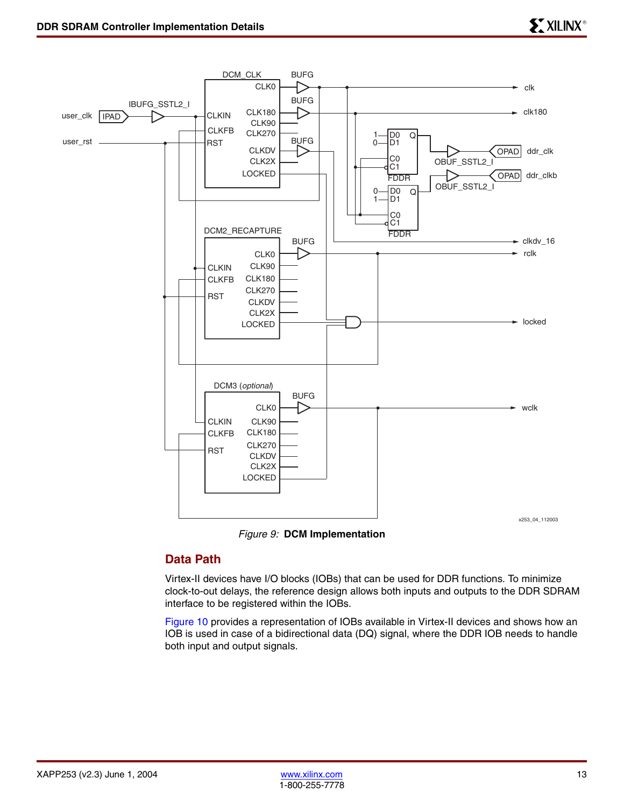

*Figure 9:* **DCM Implementation**

### <span id="page-12-0"></span>**Data Path**

Virtex-II devices have I/O blocks (IOBs) that can be used for DDR functions. To minimize clock-to-out delays, the reference design allows both inputs and outputs to the DDR SDRAM interface to be registered within the IOBs.

Figure 10 provides a representation of IOBs available in Virtex-II devices and shows how an IOB is used in case of a bidirectional data (DQ) signal, where the DDR IOB needs to handle both input and output signals.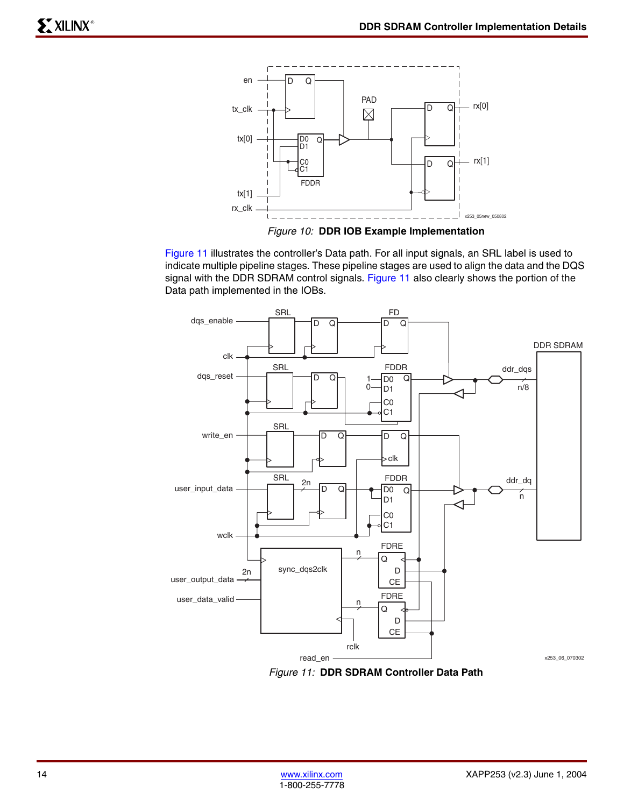

Figure 11 illustrates the controller's Data path. For all input signals, an SRL label is used to indicate multiple pipeline stages. These pipeline stages are used to align the data and the DQS signal with the DDR SDRAM control signals. Figure 11 also clearly shows the portion of the Data path implemented in the IOBs.



*Figure 11:* **DDR SDRAM Controller Data Path**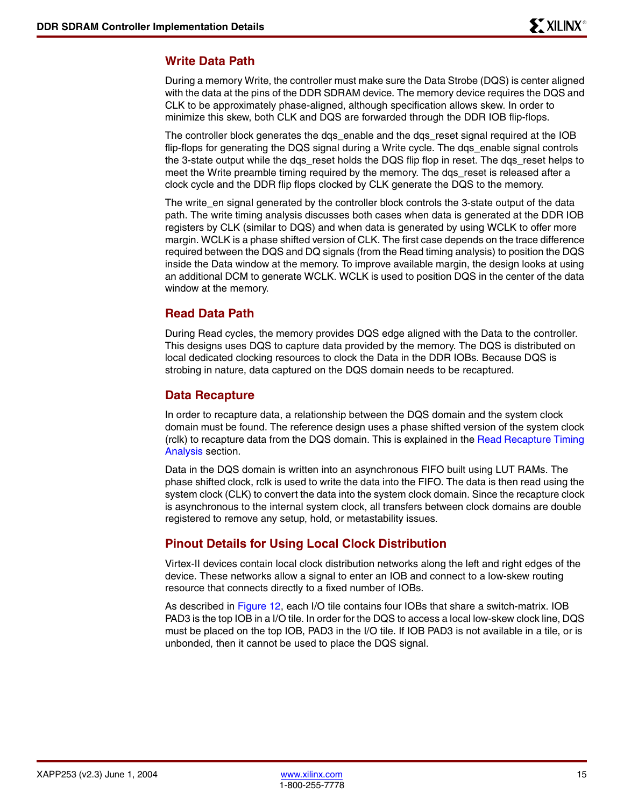#### **Write Data Path**

During a memory Write, the controller must make sure the Data Strobe (DQS) is center aligned with the data at the pins of the DDR SDRAM device. The memory device requires the DQS and CLK to be approximately phase-aligned, although specification allows skew. In order to minimize this skew, both CLK and DQS are forwarded through the DDR IOB flip-flops.

The controller block generates the dqs\_enable and the dqs\_reset signal required at the IOB flip-flops for generating the DQS signal during a Write cycle. The dgs enable signal controls the 3-state output while the dqs\_reset holds the DQS flip flop in reset. The dqs\_reset helps to meet the Write preamble timing required by the memory. The dgs reset is released after a clock cycle and the DDR flip flops clocked by CLK generate the DQS to the memory.

The write en signal generated by the controller block controls the 3-state output of the data path. The write timing analysis discusses both cases when data is generated at the DDR IOB registers by CLK (similar to DQS) and when data is generated by using WCLK to offer more margin. WCLK is a phase shifted version of CLK. The first case depends on the trace difference required between the DQS and DQ signals (from the Read timing analysis) to position the DQS inside the Data window at the memory. To improve available margin, the design looks at using an additional DCM to generate WCLK. WCLK is used to position DQS in the center of the data window at the memory.

#### **Read Data Path**

During Read cycles, the memory provides DQS edge aligned with the Data to the controller. This designs uses DQS to capture data provided by the memory. The DQS is distributed on local dedicated clocking resources to clock the Data in the DDR IOBs. Because DQS is strobing in nature, data captured on the DQS domain needs to be recaptured.

#### **Data Recapture**

In order to recapture data, a relationship between the DQS domain and the system clock domain must be found. The reference design uses a phase shifted version of the system clock (rclk) to recapture data from the DQS domain. This is explained in the [Read Recapture Timing](#page-20-0)  [Analysis](#page-20-0) section.

Data in the DQS domain is written into an asynchronous FIFO built using LUT RAMs. The phase shifted clock, rclk is used to write the data into the FIFO. The data is then read using the system clock (CLK) to convert the data into the system clock domain. Since the recapture clock is asynchronous to the internal system clock, all transfers between clock domains are double registered to remove any setup, hold, or metastability issues.

### <span id="page-14-0"></span>**Pinout Details for Using Local Clock Distribution**

Virtex-II devices contain local clock distribution networks along the left and right edges of the device. These networks allow a signal to enter an IOB and connect to a low-skew routing resource that connects directly to a fixed number of IOBs.

As described in [Figure 12,](#page-15-0) each I/O tile contains four IOBs that share a switch-matrix. IOB PAD3 is the top IOB in a I/O tile. In order for the DQS to access a local low-skew clock line, DQS must be placed on the top IOB, PAD3 in the I/O tile. If IOB PAD3 is not available in a tile, or is unbonded, then it cannot be used to place the DQS signal.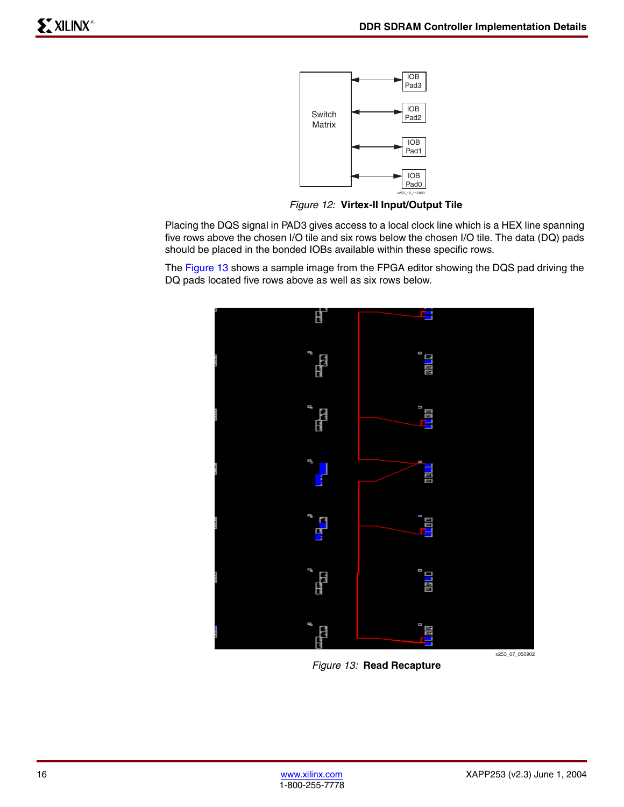

*Figure 12:* **Virtex-II Input/Output Tile**

<span id="page-15-0"></span>Placing the DQS signal in PAD3 gives access to a local clock line which is a HEX line spanning five rows above the chosen I/O tile and six rows below the chosen I/O tile. The data (DQ) pads should be placed in the bonded IOBs available within these specific rows.

The [Figure 13](#page-15-1) shows a sample image from the FPGA editor showing the DQS pad driving the DQ pads located five rows above as well as six rows below.



<span id="page-15-1"></span>*Figure 13:* **Read Recapture**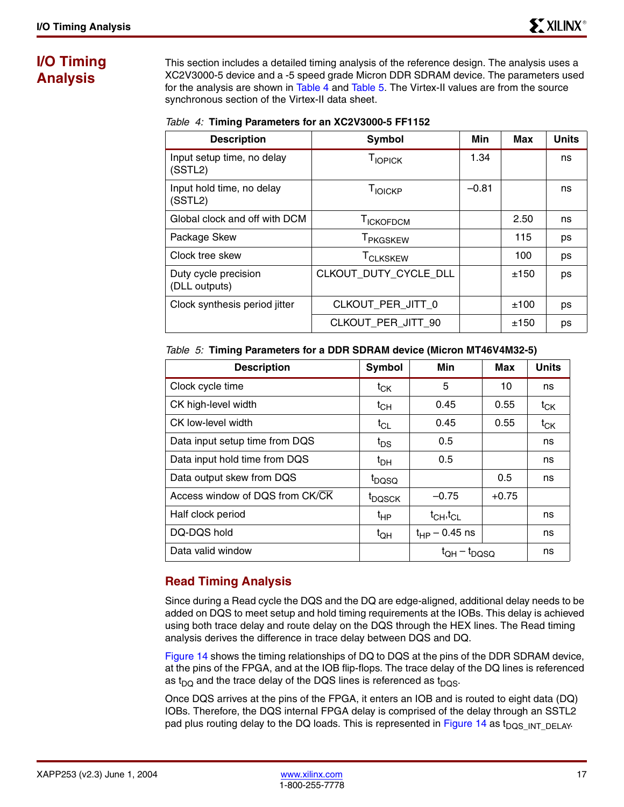# <span id="page-16-0"></span>**I/O Timing Analysis**

This section includes a detailed timing analysis of the reference design. The analysis uses a XC2V3000-5 device and a -5 speed grade Micron DDR SDRAM device. The parameters used for the analysis are shown in [Table 4](#page-16-1) and [Table 5](#page-16-2). The Virtex-II values are from the source synchronous section of the Virtex-II data sheet.

<span id="page-16-1"></span>

| Table 4: Timing Parameters for an XC2V3000-5 FF1152 |
|-----------------------------------------------------|
|-----------------------------------------------------|

| <b>Description</b>                    | Symbol                     | Min     | Max  | <b>Units</b> |
|---------------------------------------|----------------------------|---------|------|--------------|
| Input setup time, no delay<br>(SSTL2) | TIOPICK                    | 1.34    |      | ns           |
| Input hold time, no delay<br>(SSTL2)  | T <sub>IOICKP</sub>        | $-0.81$ |      | ns           |
| Global clock and off with DCM         | <b>TICKOFDCM</b>           |         | 2.50 | ns           |
| Package Skew                          | T <sub>PKGSKEW</sub>       |         | 115  | ps           |
| Clock tree skew                       | <b>T<sub>CLKSKEW</sub></b> |         | 100  | ps           |
| Duty cycle precision<br>(DLL outputs) | CLKOUT DUTY CYCLE DLL      |         | ±150 | ps           |
| Clock synthesis period jitter         | CLKOUT PER JITT 0          |         | ±100 | ps           |
|                                       | CLKOUT PER JITT 90         |         | ±150 | ps           |

<span id="page-16-2"></span>

|  |  |  | Table 5: Timing Parameters for a DDR SDRAM device (Micron MT46V4M32-5) |  |
|--|--|--|------------------------------------------------------------------------|--|
|  |  |  |                                                                        |  |

| <b>Description</b>              | Symbol             | Min                               | Max     | <b>Units</b> |
|---------------------------------|--------------------|-----------------------------------|---------|--------------|
| Clock cycle time                | $t_{CK}$           | 5                                 | 10      | ns           |
| CK high-level width             | $t_{CH}$           | 0.45                              | 0.55    | $t_{CK}$     |
| CK low-level width              | $t_{CL}$           | 0.45                              | 0.55    | $t_{CK}$     |
| Data input setup time from DQS  | t <sub>DS</sub>    | 0.5                               |         | ns           |
| Data input hold time from DQS   | $t_{\text{DH}}$    | 0.5                               |         | ns           |
| Data output skew from DQS       | t <sub>DQSQ</sub>  |                                   | 0.5     | ns           |
| Access window of DQS from CK/CK | <sup>t</sup> DQSCK | $-0.75$                           | $+0.75$ |              |
| Half clock period               | $t_{HP}$           | $t_{\text{CH}}$ , $t_{\text{CL}}$ |         | ns           |
| DQ-DQS hold                     | $t_{QH}$           | $t_{HP}$ – 0.45 ns                |         | ns           |
| Data valid window               |                    | $t_{\text{OH}} - t_{\text{DOSO}}$ |         | ns           |

# **Read Timing Analysis**

Since during a Read cycle the DQS and the DQ are edge-aligned, additional delay needs to be added on DQS to meet setup and hold timing requirements at the IOBs. This delay is achieved using both trace delay and route delay on the DQS through the HEX lines. The Read timing analysis derives the difference in trace delay between DQS and DQ.

[Figure 14](#page-17-0) shows the timing relationships of DQ to DQS at the pins of the DDR SDRAM device, at the pins of the FPGA, and at the IOB flip-flops. The trace delay of the DQ lines is referenced as t<sub>DQ</sub> and the trace delay of the DQS lines is referenced as t<sub>DQS</sub>.

Once DQS arrives at the pins of the FPGA, it enters an IOB and is routed to eight data (DQ) IOBs. Therefore, the DQS internal FPGA delay is comprised of the delay through an SSTL2 pad plus routing delay to the DQ loads. This is represented in [Figure 14](#page-17-0) as t<sub>DOS</sub> INT DELAY.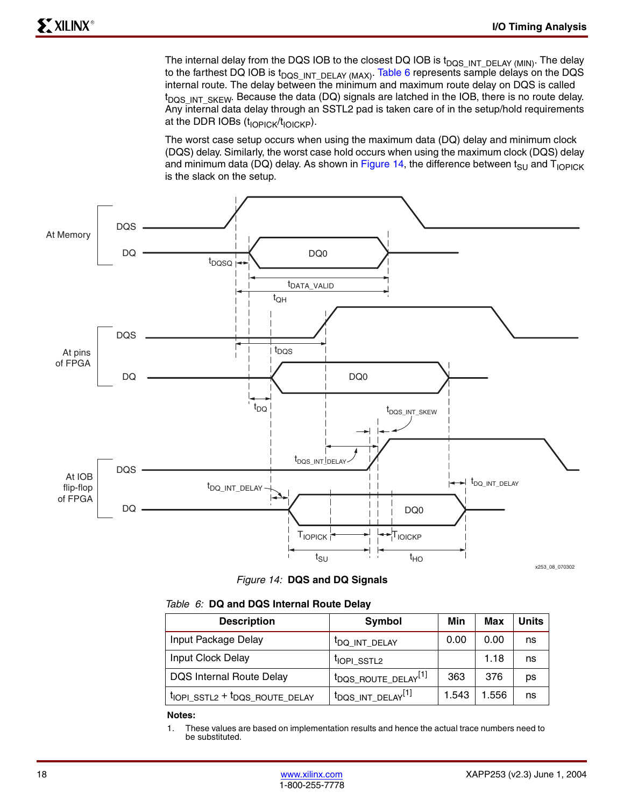The internal delay from the DQS IOB to the closest DQ IOB is  $t_{DQS\_INT\_DELAY}$  (MIN). The delay to the farthest DQ IOB is  $t_{DQS-NT-DELAY (MAX)}$ . [Table 6](#page-17-1) represents sample delays on the DQS internal route. The delay between the minimum and maximum route delay on DQS is called  $t_{DQS~INT~SKEW}$ . Because the data (DQ) signals are latched in the IOB, there is no route delay. Any internal data delay through an SSTL2 pad is taken care of in the setup/hold requirements at the DDR IOBs  $(t_{\text{IOPICK}}/t_{\text{IOICKP}})$ .

The worst case setup occurs when using the maximum data (DQ) delay and minimum clock (DQS) delay. Similarly, the worst case hold occurs when using the maximum clock (DQS) delay and minimum data (DQ) delay. As shown in [Figure 14](#page-17-0), the difference between  $t_{\text{SU}}$  and  $T_{\text{IOPICK}}$ is the slack on the setup.





<span id="page-17-1"></span><span id="page-17-0"></span>

|  |  |  |  |  | Table 6: DQ and DQS Internal Route Delay |  |  |
|--|--|--|--|--|------------------------------------------|--|--|
|--|--|--|--|--|------------------------------------------|--|--|

| <b>Description</b>                   | Symbol                                      | Min   | Max   | <b>Units</b> |
|--------------------------------------|---------------------------------------------|-------|-------|--------------|
| Input Package Delay                  | <sup>I</sup> DQ_INT_DELAY                   | 0.00  | 0.00  | ns           |
| Input Clock Delay                    | <sup>I</sup> IOPI_SSTL2                     |       | 1.18  | ns           |
| <b>DQS Internal Route Delay</b>      | t <sub>DQS_ROUTE_DELAY</sub> <sup>[1]</sup> | 363   | 376   | рs           |
| $t$ IOPI_SSTL2 + $t$ DQS_ROUTE_DELAY | t <sub>DQS_INT_DELAY</sub> [1]              | 1.543 | 1.556 | ns           |

**Notes:** 

1. These values are based on implementation results and hence the actual trace numbers need to be substituted.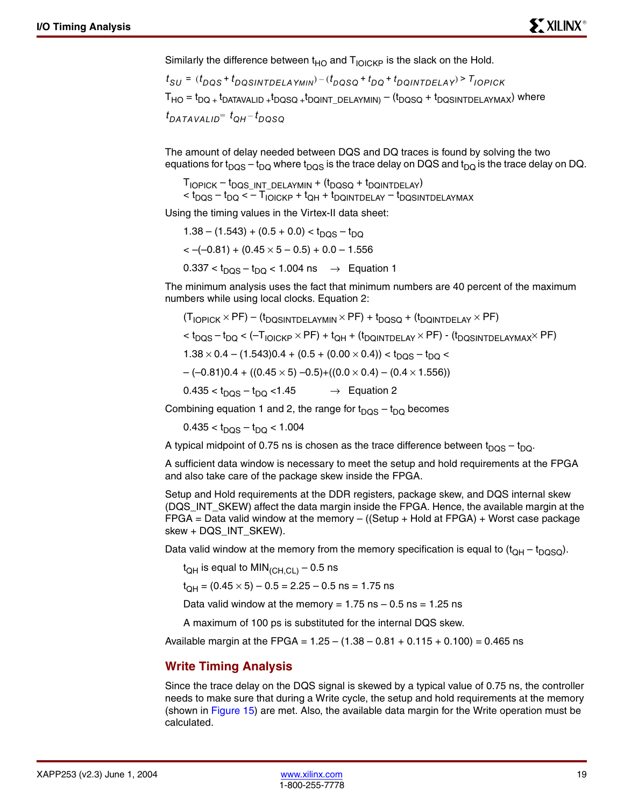Similarly the difference between  $t_{HO}$  and  $T_{IOICKP}$  is the slack on the Hold.

 $T_{HO} = t_{DQ +} t_{DATAVALID +} t_{DQSG +} t_{DQINT\_DELAYMIN)} - (t_{DQSG} + t_{DQSINTDELAYMAX})$  where  $t_{SU}$  = ( $t_{DQS}$  +  $t_{DQSINTDELAYMIN}$ ) – ( $t_{DQSQ}$  +  $t_{DQ}$  +  $t_{DQINTDELAY}$ ) >  $\overline{t}_{DPICK}$  $t_{DATAVALID}$  =  $t_{QH}$  –  $t_{DQSQ}$ 

The amount of delay needed between DQS and DQ traces is found by solving the two equations for t<sub>DOS</sub> – t<sub>DO</sub> where t<sub>DOS</sub> is the trace delay on DQS and t<sub>DO</sub> is the trace delay on DQ.

 $T_{\text{IOPICK}} - t_{\text{DQS\_INT\_DELAYMIN}} + (t_{\text{DQSG}} + t_{\text{DQINTDELAY}})$  $<$  t<sub>DQS</sub> – t<sub>DQ</sub>  $<$  – T<sub>IOICKP</sub> + t<sub>QH</sub> + t<sub>DQINTDELAY</sub> – t<sub>DQSINTDELAYMAX</sub>

Using the timing values in the Virtex-II data sheet:

 $1.38 - (1.543) + (0.5 + 0.0) < t_{DOS} - t_{DO}$  $\langle -(0.81) + (0.45 \times 5 - 0.5) + 0.0 - 1.556 \rangle$  $0.337 < t<sub>DOS</sub> - t<sub>DO</sub> < 1.004$  ns  $\rightarrow$  Equation 1

The minimum analysis uses the fact that minimum numbers are 40 percent of the maximum numbers while using local clocks. Equation 2:

(T<sub>IOPICK</sub> × PF) – (t<sub>DQSINTDELAYMIN</sub> × PF) + t<sub>DQSQ</sub> + (t<sub>DQINTDELAY</sub> × PF)  
\n
$$
< tDQS - tDQ < -TIOCKP × PF) + tQH + (tDQINTDELAY × PF) - (tDQSINTDELAYMAX × PF)\n1.38 × 0.4 – (1.543)0.4 + (0.5 + (0.00 × 0.4)) < tDQS – tDQ \n- (-0.81)0.4 + ((0.45 × 5) –0.5) + ((0.0 × 0.4) – (0.4 × 1.556))\n0.435 < tDQS – tDQ <1.45
$$
 → Equation 2

Combining equation 1 and 2, the range for  $t_{DOS} - t_{DO}$  becomes

 $0.435 < t_{DOS} - t_{DO} < 1.004$ 

A typical midpoint of 0.75 ns is chosen as the trace difference between  $t_{DQS} - t_{DQ}$ .

A sufficient data window is necessary to meet the setup and hold requirements at the FPGA and also take care of the package skew inside the FPGA.

Setup and Hold requirements at the DDR registers, package skew, and DQS internal skew (DQS\_INT\_SKEW) affect the data margin inside the FPGA. Hence, the available margin at the  $FPGA = Data$  valid window at the memory  $-$  ((Setup  $+$  Hold at  $FPGA) +$  Worst case package skew + DQS\_INT\_SKEW).

Data valid window at the memory from the memory specification is equal to  $(t_{QH} - t_{DQSQ})$ .

 $t_{QH}$  is equal to MIN<sub>(CH,CL)</sub> – 0.5 ns

 $t_{OH} = (0.45 \times 5) - 0.5 = 2.25 - 0.5$  ns = 1.75 ns

Data valid window at the memory =  $1.75$  ns  $-0.5$  ns =  $1.25$  ns

A maximum of 100 ps is substituted for the internal DQS skew.

Available margin at the FPGA =  $1.25 - (1.38 - 0.81 + 0.115 + 0.100) = 0.465$  ns

### **Write Timing Analysis**

Since the trace delay on the DQS signal is skewed by a typical value of 0.75 ns, the controller needs to make sure that during a Write cycle, the setup and hold requirements at the memory (shown in [Figure 15\)](#page-19-0) are met. Also, the available data margin for the Write operation must be calculated.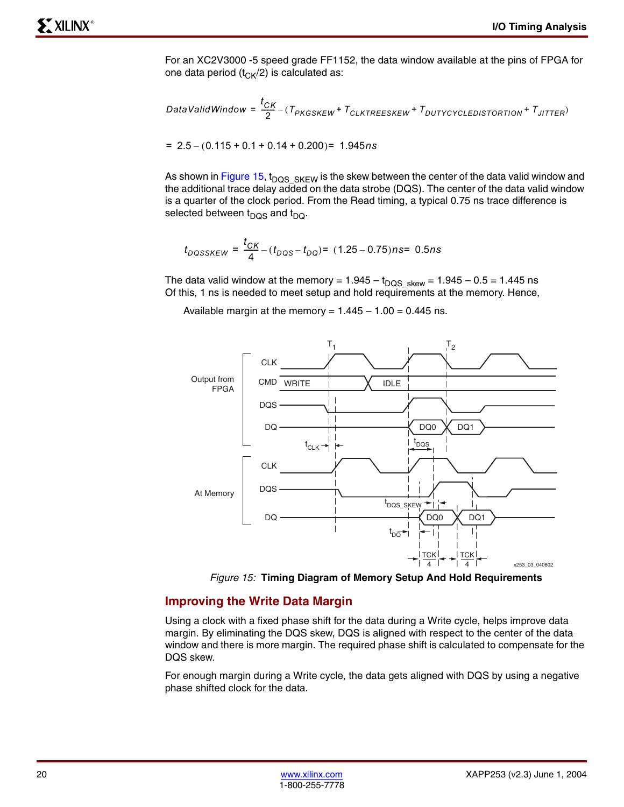For an XC2V3000 -5 speed grade FF1152, the data window available at the pins of FPGA for one data period ( $t_{CK}/2$ ) is calculated as:

$$
\textit{DataValidWindow} = \frac{t_{CK}}{2} - (T_{PKGSKEW} + T_{CLKTREESKEW} + T_{DUTYCYCLEDISTORITION} + T_{JITTER})
$$

$$
= 2.5 - (0.115 + 0.1 + 0.14 + 0.200) = 1.945 ns
$$

As shown in [Figure 15](#page-19-0),  $t_{DQS\_SKEW}$  is the skew between the center of the data valid window and the additional trace delay added on the data strobe (DQS). The center of the data valid window is a quarter of the clock period. From the Read timing, a typical 0.75 ns trace difference is selected between  $t_{DOS}$  and  $t_{DO}$ .

$$
t_{DQSSKEW} = \frac{t_{CK}}{4} - (t_{DQS} - t_{DQ}) = (1.25 - 0.75)ns = 0.5ns
$$

The data valid window at the memory =  $1.945 - t_{DQS\_skew} = 1.945 - 0.5 = 1.445$  ns Of this, 1 ns is needed to meet setup and hold requirements at the memory. Hence,

Available margin at the memory =  $1.445 - 1.00 = 0.445$  ns.



*Figure 15:* **Timing Diagram of Memory Setup And Hold Requirements**

#### <span id="page-19-0"></span>**Improving the Write Data Margin**

Using a clock with a fixed phase shift for the data during a Write cycle, helps improve data margin. By eliminating the DQS skew, DQS is aligned with respect to the center of the data window and there is more margin. The required phase shift is calculated to compensate for the DQS skew.

For enough margin during a Write cycle, the data gets aligned with DQS by using a negative phase shifted clock for the data.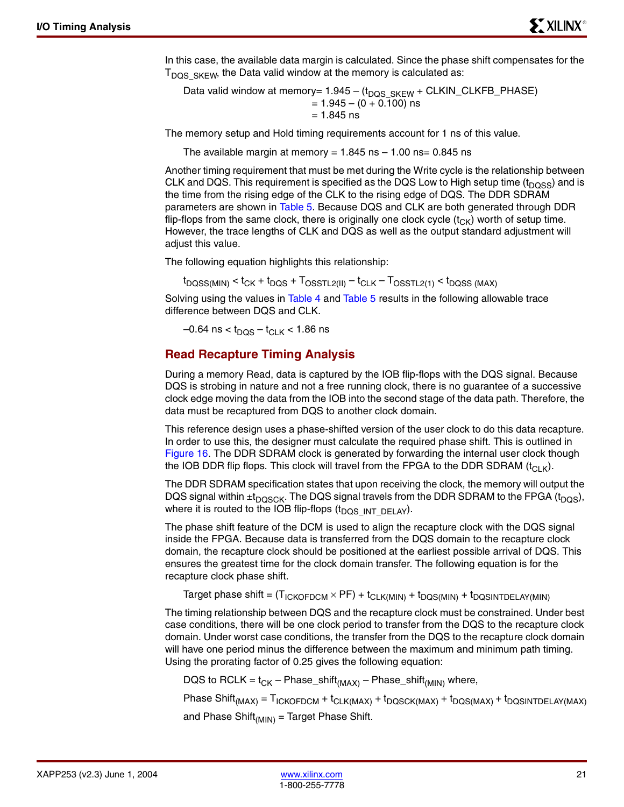In this case, the available data margin is calculated. Since the phase shift compensates for the  $T<sub>DQS SKEW</sub>$ , the Data valid window at the memory is calculated as:

Data valid window at memory=  $1.945 - (t_{DQS, SKEW} + CLKIN_CLKFB_PHASE)$  $= 1.945 - (0 + 0.100)$  ns  $= 1.845$  ns

The memory setup and Hold timing requirements account for 1 ns of this value.

The available margin at memory =  $1.845$  ns  $- 1.00$  ns= 0.845 ns

Another timing requirement that must be met during the Write cycle is the relationship between CLK and DQS. This requirement is specified as the DQS Low to High setup time ( $t_{DOSS}$ ) and is the time from the rising edge of the CLK to the rising edge of DQS. The DDR SDRAM parameters are shown in [Table 5](#page-16-2). Because DQS and CLK are both generated through DDR flip-flops from the same clock, there is originally one clock cycle  $(t_{CK})$  worth of setup time. However, the trace lengths of CLK and DQS as well as the output standard adjustment will adjust this value.

The following equation highlights this relationship:

 $t_{DOSS(MIN)} < t_{CK} + t_{DQS} + T_{OSSTL2(II)} - t_{CLK} - T_{OSSTL2(1)} < t_{DQSS(MAX)}$ 

Solving using the values in [Table 4](#page-16-1) and [Table 5](#page-16-2) results in the following allowable trace difference between DQS and CLK.

 $-0.64$  ns <  $t_{DOS} - t_{CIK}$  < 1.86 ns

#### <span id="page-20-0"></span>**Read Recapture Timing Analysis**

During a memory Read, data is captured by the IOB flip-flops with the DQS signal. Because DQS is strobing in nature and not a free running clock, there is no guarantee of a successive clock edge moving the data from the IOB into the second stage of the data path. Therefore, the data must be recaptured from DQS to another clock domain.

This reference design uses a phase-shifted version of the user clock to do this data recapture. In order to use this, the designer must calculate the required phase shift. This is outlined in [Figure 16](#page-21-0). The DDR SDRAM clock is generated by forwarding the internal user clock though the IOB DDR flip flops. This clock will travel from the FPGA to the DDR SDRAM  $(t<sub>CI K</sub>)$ .

The DDR SDRAM specification states that upon receiving the clock, the memory will output the DQS signal within  $\pm t_{DQSCK}$ . The DQS signal travels from the DDR SDRAM to the FPGA ( $t_{DQS}$ ), where it is routed to the IOB flip-flops  $(t_{DQS\_INT\_DELAY})$ .

The phase shift feature of the DCM is used to align the recapture clock with the DQS signal inside the FPGA. Because data is transferred from the DQS domain to the recapture clock domain, the recapture clock should be positioned at the earliest possible arrival of DQS. This ensures the greatest time for the clock domain transfer. The following equation is for the recapture clock phase shift.

Target phase shift =  $(T_{ICKOFDCM} \times PF) + t_{CLK(MIN)} + t_{DQS(MIN)} + t_{DQSINTDELAY(MIN)}$ 

The timing relationship between DQS and the recapture clock must be constrained. Under best case conditions, there will be one clock period to transfer from the DQS to the recapture clock domain. Under worst case conditions, the transfer from the DQS to the recapture clock domain will have one period minus the difference between the maximum and minimum path timing. Using the prorating factor of 0.25 gives the following equation:

DQS to RCLK =  $t_{CK}$  – Phase\_shift<sub>(MAX)</sub> – Phase\_shift<sub>(MIN)</sub> where,

Phase Shift<sub>(MAX)</sub> =  $T_{ICKOFDCM}$  +  $t_{CLK(MAX)}$  +  $t_{DQSCK(MAX)}$  +  $t_{DQS(MAX)}$  +  $t_{DQSINTDELAY(MAX)}$ and Phase Shift $_{(MIN)}$  = Target Phase Shift.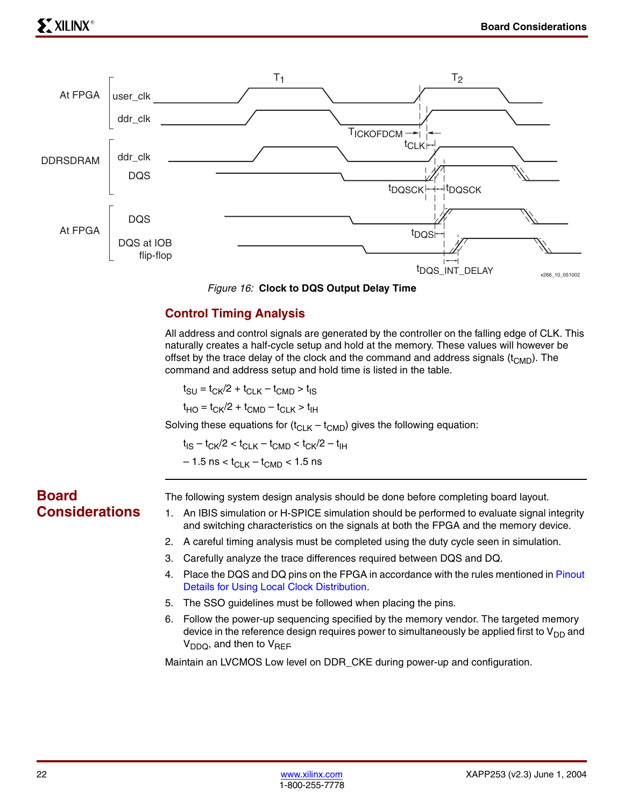

*Figure 16:* **Clock to DQS Output Delay Time**

# <span id="page-21-1"></span><span id="page-21-0"></span>**Control Timing Analysis**

All address and control signals are generated by the controller on the falling edge of CLK. This naturally creates a half-cycle setup and hold at the memory. These values will however be offset by the trace delay of the clock and the command and address signals  $(t_{\text{CMD}})$ . The command and address setup and hold time is listed in the table.

 $t_{\text{SU}} = t_{\text{CK}}/2 + t_{\text{CI K}} - t_{\text{CMD}} > t_{\text{IS}}$ 

 $t_{HO} = t_{CK}/2 + t_{CMD} - t_{CLK} > t_{HH}$ 

Solving these equations for  $(t_{CLK} - t_{CMD})$  gives the following equation:

 $t_{IS} - t_{CK}/2 < t_{CLK} - t_{CMD} < t_{CK}/2 - t_{IH}$  $-1.5$  ns < t<sub>CLK</sub> – t<sub>CMD</sub> < 1.5 ns

# **Board Considerations**

The following system design analysis should be done before completing board layout.

- 1. An IBIS simulation or H-SPICE simulation should be performed to evaluate signal integrity and switching characteristics on the signals at both the FPGA and the memory device.
- 2. A careful timing analysis must be completed using the duty cycle seen in simulation.
- 3. Carefully analyze the trace differences required between DQS and DQ.
- 4. Place the DQS and DQ pins on the FPGA in accordance with the rules mentioned in [Pinout](#page-14-0)  [Details for Using Local Clock Distribution.](#page-14-0)
- 5. The SSO guidelines must be followed when placing the pins.
- 6. Follow the power-up sequencing specified by the memory vendor. The targeted memory device in the reference design requires power to simultaneously be applied first to  $V_{DD}$  and  $V_{DDQ}$ , and then to  $V_{REF}$

Maintain an LVCMOS Low level on DDR\_CKE during power-up and configuration.